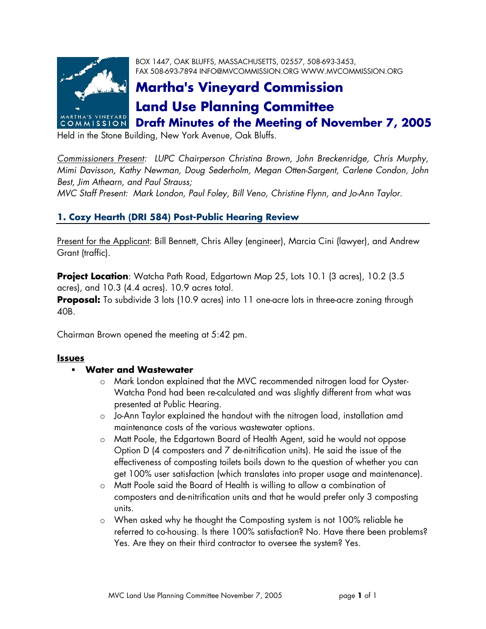

BOX 1447, OAK BLUFFS, MASSACHUSETTS, 02557, 508-693-3453, FAX 508-693-7894 INFO@MVCOMMISSION.ORG WWW.MVCOMMISSION.ORG

# **Martha's Vineyard Commission Land Use Planning Committee**

**Draft Minutes of the Meeting of November 7, 2005** 

Held in the Stone Building, New York Avenue, Oak Bluffs.

*Commissioners Present: LUPC Chairperson Christina Brown, John Breckenridge, Chris Murphy, Mimi Davisson, Kathy Newman, Doug Sederholm, Megan Otten-Sargent, Carlene Condon, John Best, Jim Athearn, and Paul Strauss;* 

*MVC Staff Present: Mark London, Paul Foley, Bill Veno, Christine Flynn, and Jo-Ann Taylor.* 

## **1. Cozy Hearth (DRI 584) Post-Public Hearing Review**

Present for the Applicant: Bill Bennett, Chris Alley (engineer), Marcia Cini (lawyer), and Andrew Grant (traffic).

**Project Location**: Watcha Path Road, Edgartown Map 25, Lots 10.1 (3 acres), 10.2 (3.5 acres), and 10.3 (4.4 acres). 10.9 acres total.

**Proposal:** To subdivide 3 lots (10.9 acres) into 11 one-acre lots in three-acre zoning through 40B.

Chairman Brown opened the meeting at 5:42 pm.

### **Issues**

### **Water and Wastewater**

- o Mark London explained that the MVC recommended nitrogen load for Oyster-Watcha Pond had been re-calculated and was slightly different from what was presented at Public Hearing.
- $\circ$  Jo-Ann Taylor explained the handout with the nitrogen load, installation amd maintenance costs of the various wastewater options.
- o Matt Poole, the Edgartown Board of Health Agent, said he would not oppose Option D (4 composters and 7 de-nitrification units). He said the issue of the effectiveness of composting toilets boils down to the question of whether you can get 100% user satisfaction (which translates into proper usage and maintenance).
- o Matt Poole said the Board of Health is willing to allow a combination of composters and de-nitrification units and that he would prefer only 3 composting units.
- o When asked why he thought the Composting system is not 100% reliable he referred to co-housing. Is there 100% satisfaction? No. Have there been problems? Yes. Are they on their third contractor to oversee the system? Yes.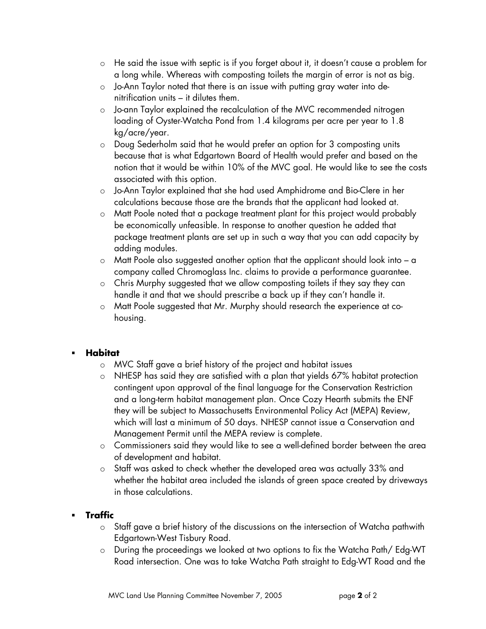- o He said the issue with septic is if you forget about it, it doesn't cause a problem for a long while. Whereas with composting toilets the margin of error is not as big.
- o Jo-Ann Taylor noted that there is an issue with putting gray water into denitrification units – it dilutes them.
- o Jo-ann Taylor explained the recalculation of the MVC recommended nitrogen loading of Oyster-Watcha Pond from 1.4 kilograms per acre per year to 1.8 kg/acre/year.
- o Doug Sederholm said that he would prefer an option for 3 composting units because that is what Edgartown Board of Health would prefer and based on the notion that it would be within 10% of the MVC goal. He would like to see the costs associated with this option.
- o Jo-Ann Taylor explained that she had used Amphidrome and Bio-Clere in her calculations because those are the brands that the applicant had looked at.
- o Matt Poole noted that a package treatment plant for this project would probably be economically unfeasible. In response to another question he added that package treatment plants are set up in such a way that you can add capacity by adding modules.
- $\circ$  Matt Poole also suggested another option that the applicant should look into a company called Chromoglass Inc. claims to provide a performance guarantee.
- o Chris Murphy suggested that we allow composting toilets if they say they can handle it and that we should prescribe a back up if they can't handle it.
- o Matt Poole suggested that Mr. Murphy should research the experience at cohousing.

### **Habitat**

- o MVC Staff gave a brief history of the project and habitat issues
- o NHESP has said they are satisfied with a plan that yields 67% habitat protection contingent upon approval of the final language for the Conservation Restriction and a long-term habitat management plan. Once Cozy Hearth submits the ENF they will be subject to Massachusetts Environmental Policy Act (MEPA) Review, which will last a minimum of 50 days. NHESP cannot issue a Conservation and Management Permit until the MEPA review is complete.
- o Commissioners said they would like to see a well-defined border between the area of development and habitat.
- o Staff was asked to check whether the developed area was actually 33% and whether the habitat area included the islands of green space created by driveways in those calculations.

### **Traffic**

- o Staff gave a brief history of the discussions on the intersection of Watcha pathwith Edgartown-West Tisbury Road.
- o During the proceedings we looked at two options to fix the Watcha Path/ Edg-WT Road intersection. One was to take Watcha Path straight to Edg-WT Road and the